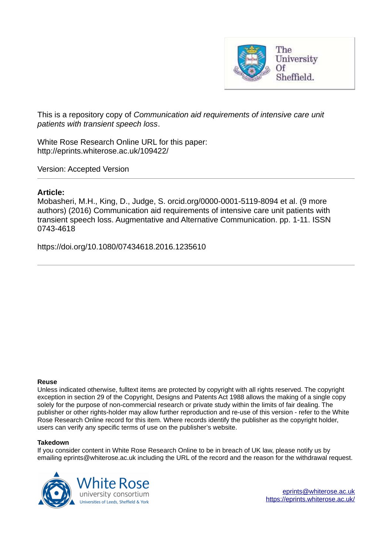

This is a repository copy of *Communication aid requirements of intensive care unit patients with transient speech loss*.

White Rose Research Online URL for this paper: http://eprints.whiterose.ac.uk/109422/

Version: Accepted Version

# **Article:**

Mobasheri, M.H., King, D., Judge, S. orcid.org/0000-0001-5119-8094 et al. (9 more authors) (2016) Communication aid requirements of intensive care unit patients with transient speech loss. Augmentative and Alternative Communication. pp. 1-11. ISSN 0743-4618

https://doi.org/10.1080/07434618.2016.1235610

#### **Reuse**

Unless indicated otherwise, fulltext items are protected by copyright with all rights reserved. The copyright exception in section 29 of the Copyright, Designs and Patents Act 1988 allows the making of a single copy solely for the purpose of non-commercial research or private study within the limits of fair dealing. The publisher or other rights-holder may allow further reproduction and re-use of this version - refer to the White Rose Research Online record for this item. Where records identify the publisher as the copyright holder, users can verify any specific terms of use on the publisher's website.

# **Takedown**

If you consider content in White Rose Research Online to be in breach of UK law, please notify us by emailing eprints@whiterose.ac.uk including the URL of the record and the reason for the withdrawal request.

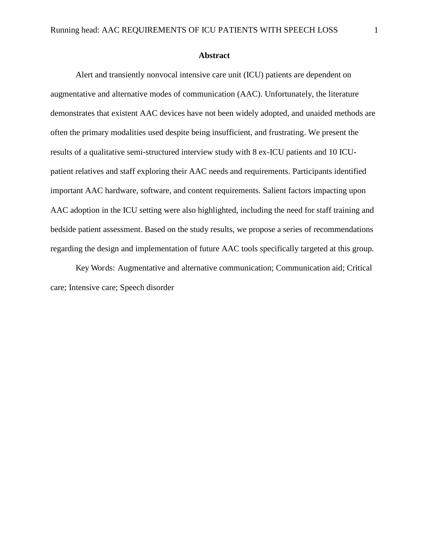Alert and transiently nonvocal intensive care unit (ICU) patients are dependent on augmentative and alternative modes of communication (AAC). Unfortunately, the literature demonstrates that existent AAC devices have not been widely adopted, and unaided methods are often the primary modalities used despite being insufficient, and frustrating. We present the results of a qualitative semi-structured interview study with 8 ex-ICU patients and 10 ICUpatient relatives and staff exploring their AAC needs and requirements. Participants identified important AAC hardware, software, and content requirements. Salient factors impacting upon AAC adoption in the ICU setting were also highlighted, including the need for staff training and bedside patient assessment. Based on the study results, we propose a series of recommendations regarding the design and implementation of future AAC tools specifically targeted at this group.

Key Words: Augmentative and alternative communication; Communication aid; Critical care; Intensive care; Speech disorder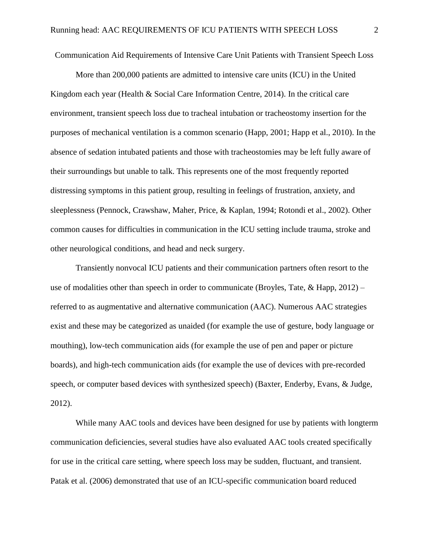Communication Aid Requirements of Intensive Care Unit Patients with Transient Speech Loss

More than 200,000 patients are admitted to intensive care units (ICU) in the United Kingdom each year (Health & Social Care Information Centre, 2014). In the critical care environment, transient speech loss due to tracheal intubation or tracheostomy insertion for the purposes of mechanical ventilation is a common scenario (Happ, 2001; Happ et al., 2010). In the absence of sedation intubated patients and those with tracheostomies may be left fully aware of their surroundings but unable to talk. This represents one of the most frequently reported distressing symptoms in this patient group, resulting in feelings of frustration, anxiety, and sleeplessness (Pennock, Crawshaw, Maher, Price, & Kaplan, 1994; Rotondi et al., 2002). Other common causes for difficulties in communication in the ICU setting include trauma, stroke and other neurological conditions, and head and neck surgery.

Transiently nonvocal ICU patients and their communication partners often resort to the use of modalities other than speech in order to communicate (Broyles, Tate,  $\&$  Happ, 2012) – referred to as augmentative and alternative communication (AAC). Numerous AAC strategies exist and these may be categorized as unaided (for example the use of gesture, body language or mouthing), low-tech communication aids (for example the use of pen and paper or picture boards), and high-tech communication aids (for example the use of devices with pre-recorded speech, or computer based devices with synthesized speech) (Baxter, Enderby, Evans, & Judge, 2012).

While many AAC tools and devices have been designed for use by patients with longterm communication deficiencies, several studies have also evaluated AAC tools created specifically for use in the critical care setting, where speech loss may be sudden, fluctuant, and transient. Patak et al. (2006) demonstrated that use of an ICU-specific communication board reduced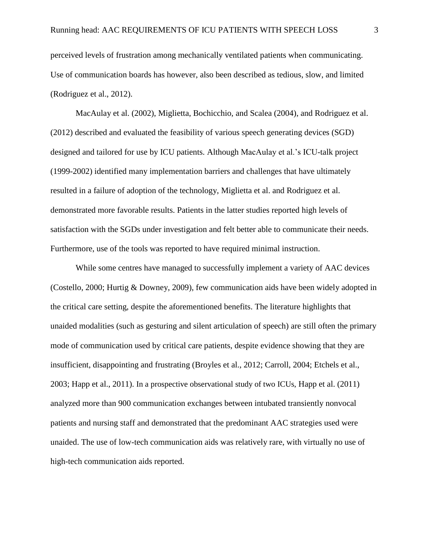perceived levels of frustration among mechanically ventilated patients when communicating. Use of communication boards has however, also been described as tedious, slow, and limited (Rodriguez et al., 2012).

MacAulay et al. (2002), Miglietta, Bochicchio, and Scalea (2004), and Rodriguez et al. (2012) described and evaluated the feasibility of various speech generating devices (SGD) designed and tailored for use by ICU patients. Although MacAulay et al.'s ICU-talk project (1999-2002) identified many implementation barriers and challenges that have ultimately resulted in a failure of adoption of the technology, Miglietta et al. and Rodriguez et al. demonstrated more favorable results. Patients in the latter studies reported high levels of satisfaction with the SGDs under investigation and felt better able to communicate their needs. Furthermore, use of the tools was reported to have required minimal instruction.

While some centres have managed to successfully implement a variety of AAC devices (Costello, 2000; Hurtig & Downey, 2009), few communication aids have been widely adopted in the critical care setting, despite the aforementioned benefits. The literature highlights that unaided modalities (such as gesturing and silent articulation of speech) are still often the primary mode of communication used by critical care patients, despite evidence showing that they are insufficient, disappointing and frustrating (Broyles et al., 2012; Carroll, 2004; Etchels et al., 2003; Happ et al., 2011). In a prospective observational study of two ICUs, Happ et al. (2011) analyzed more than 900 communication exchanges between intubated transiently nonvocal patients and nursing staff and demonstrated that the predominant AAC strategies used were unaided. The use of low-tech communication aids was relatively rare, with virtually no use of high-tech communication aids reported.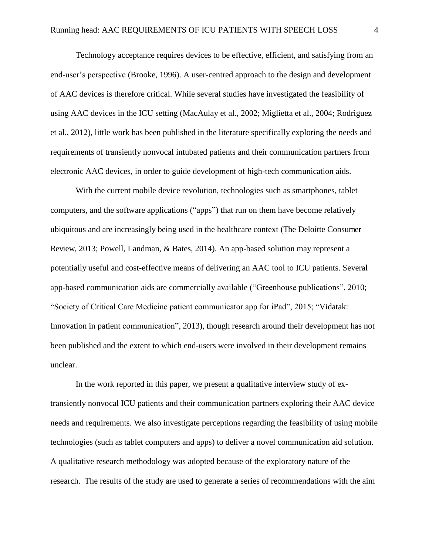Technology acceptance requires devices to be effective, efficient, and satisfying from an end-user's perspective (Brooke, 1996). A user-centred approach to the design and development of AAC devices is therefore critical. While several studies have investigated the feasibility of using AAC devices in the ICU setting (MacAulay et al., 2002; Miglietta et al., 2004; Rodriguez et al., 2012), little work has been published in the literature specifically exploring the needs and requirements of transiently nonvocal intubated patients and their communication partners from electronic AAC devices, in order to guide development of high-tech communication aids.

With the current mobile device revolution, technologies such as smartphones, tablet computers, and the software applications ("apps") that run on them have become relatively ubiquitous and are increasingly being used in the healthcare context (The Deloitte Consumer Review, 2013; Powell, Landman, & Bates, 2014). An app-based solution may represent a potentially useful and cost-effective means of delivering an AAC tool to ICU patients. Several app-based communication aids are commercially available ("Greenhouse publications", 2010; "Society of Critical Care Medicine patient communicator app for iPad", 2015; "Vidatak: Innovation in patient communication", 2013), though research around their development has not been published and the extent to which end-users were involved in their development remains unclear.

In the work reported in this paper, we present a qualitative interview study of extransiently nonvocal ICU patients and their communication partners exploring their AAC device needs and requirements. We also investigate perceptions regarding the feasibility of using mobile technologies (such as tablet computers and apps) to deliver a novel communication aid solution. A qualitative research methodology was adopted because of the exploratory nature of the research. The results of the study are used to generate a series of recommendations with the aim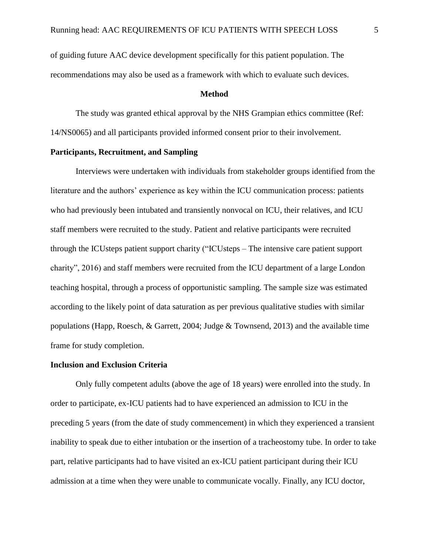of guiding future AAC device development specifically for this patient population. The recommendations may also be used as a framework with which to evaluate such devices.

#### **Method**

The study was granted ethical approval by the NHS Grampian ethics committee (Ref: 14/NS0065) and all participants provided informed consent prior to their involvement.

# **Participants, Recruitment, and Sampling**

Interviews were undertaken with individuals from stakeholder groups identified from the literature and the authors' experience as key within the ICU communication process: patients who had previously been intubated and transiently nonvocal on ICU, their relatives, and ICU staff members were recruited to the study. Patient and relative participants were recruited through the ICUsteps patient support charity ("ICUsteps – The intensive care patient support charity", 2016) and staff members were recruited from the ICU department of a large London teaching hospital, through a process of opportunistic sampling. The sample size was estimated according to the likely point of data saturation as per previous qualitative studies with similar populations (Happ, Roesch, & Garrett, 2004; Judge & Townsend, 2013) and the available time frame for study completion.

### **Inclusion and Exclusion Criteria**

 Only fully competent adults (above the age of 18 years) were enrolled into the study. In order to participate, ex-ICU patients had to have experienced an admission to ICU in the preceding 5 years (from the date of study commencement) in which they experienced a transient inability to speak due to either intubation or the insertion of a tracheostomy tube. In order to take part, relative participants had to have visited an ex-ICU patient participant during their ICU admission at a time when they were unable to communicate vocally. Finally, any ICU doctor,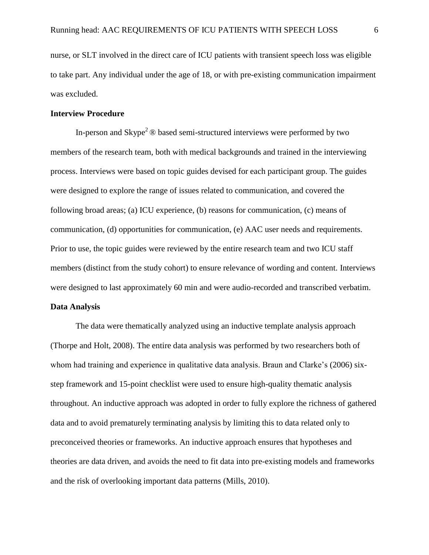nurse, or SLT involved in the direct care of ICU patients with transient speech loss was eligible to take part. Any individual under the age of 18, or with pre-existing communication impairment was excluded.

#### **Interview Procedure**

In-person and  $\text{Skype}^2 \otimes \text{based semi-structured interviews}$  were performed by two members of the research team, both with medical backgrounds and trained in the interviewing process. Interviews were based on topic guides devised for each participant group. The guides were designed to explore the range of issues related to communication, and covered the following broad areas; (a) ICU experience, (b) reasons for communication, (c) means of communication, (d) opportunities for communication, (e) AAC user needs and requirements. Prior to use, the topic guides were reviewed by the entire research team and two ICU staff members (distinct from the study cohort) to ensure relevance of wording and content. Interviews were designed to last approximately 60 min and were audio-recorded and transcribed verbatim.

# **Data Analysis**

The data were thematically analyzed using an inductive template analysis approach (Thorpe and Holt, 2008). The entire data analysis was performed by two researchers both of whom had training and experience in qualitative data analysis. Braun and Clarke's (2006) sixstep framework and 15-point checklist were used to ensure high-quality thematic analysis throughout. An inductive approach was adopted in order to fully explore the richness of gathered data and to avoid prematurely terminating analysis by limiting this to data related only to preconceived theories or frameworks. An inductive approach ensures that hypotheses and theories are data driven, and avoids the need to fit data into pre-existing models and frameworks and the risk of overlooking important data patterns (Mills, 2010).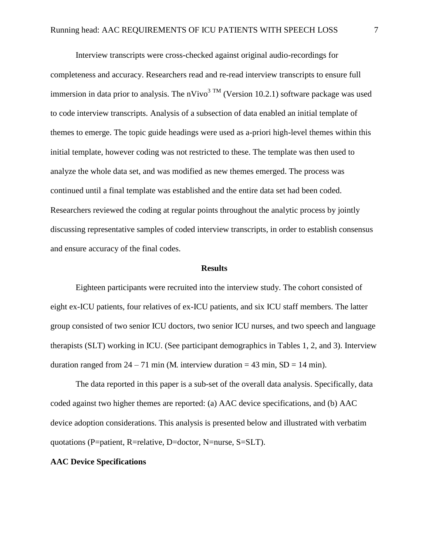Interview transcripts were cross-checked against original audio-recordings for completeness and accuracy. Researchers read and re-read interview transcripts to ensure full immersion in data prior to analysis. The nVivo<sup>3 TM</sup> (Version 10.2.1) software package was used to code interview transcripts. Analysis of a subsection of data enabled an initial template of themes to emerge. The topic guide headings were used as a-priori high-level themes within this initial template, however coding was not restricted to these. The template was then used to analyze the whole data set, and was modified as new themes emerged. The process was continued until a final template was established and the entire data set had been coded. Researchers reviewed the coding at regular points throughout the analytic process by jointly discussing representative samples of coded interview transcripts, in order to establish consensus and ensure accuracy of the final codes.

#### **Results**

Eighteen participants were recruited into the interview study. The cohort consisted of eight ex-ICU patients, four relatives of ex-ICU patients, and six ICU staff members. The latter group consisted of two senior ICU doctors, two senior ICU nurses, and two speech and language therapists (SLT) working in ICU. (See participant demographics in Tables 1, 2, and 3). Interview duration ranged from  $24 - 71$  min (M. interview duration = 43 min, SD = 14 min).

The data reported in this paper is a sub-set of the overall data analysis. Specifically, data coded against two higher themes are reported: (a) AAC device specifications, and (b) AAC device adoption considerations. This analysis is presented below and illustrated with verbatim quotations (P=patient, R=relative, D=doctor, N=nurse, S=SLT).

#### **AAC Device Specifications**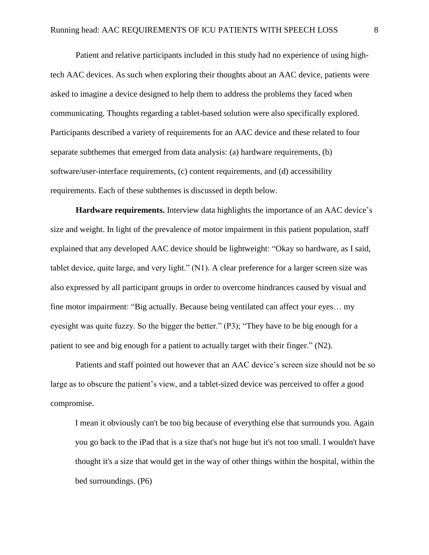Patient and relative participants included in this study had no experience of using hightech AAC devices. As such when exploring their thoughts about an AAC device, patients were asked to imagine a device designed to help them to address the problems they faced when communicating. Thoughts regarding a tablet-based solution were also specifically explored. Participants described a variety of requirements for an AAC device and these related to four separate subthemes that emerged from data analysis: (a) hardware requirements, (b) software/user-interface requirements, (c) content requirements, and (d) accessibility requirements. Each of these subthemes is discussed in depth below.

**Hardware requirements.** Interview data highlights the importance of an AAC device's size and weight. In light of the prevalence of motor impairment in this patient population, staff explained that any developed AAC device should be lightweight: "Okay so hardware, as I said, tablet device, quite large, and very light." (N1). A clear preference for a larger screen size was also expressed by all participant groups in order to overcome hindrances caused by visual and fine motor impairment: "Big actually. Because being ventilated can affect your eyes… my eyesight was quite fuzzy. So the bigger the better." (P3); "They have to be big enough for a patient to see and big enough for a patient to actually target with their finger." (N2).

 Patients and staff pointed out however that an AAC device's screen size should not be so large as to obscure the patient's view, and a tablet-sized device was perceived to offer a good compromise.

I mean it obviously can't be too big because of everything else that surrounds you. Again you go back to the iPad that is a size that's not huge but it's not too small. I wouldn't have thought it's a size that would get in the way of other things within the hospital, within the bed surroundings. (P6)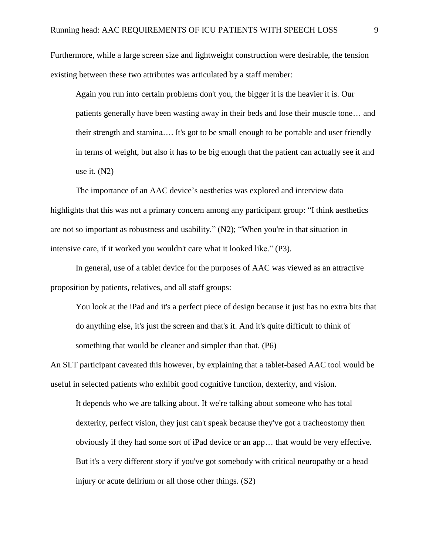Furthermore, while a large screen size and lightweight construction were desirable, the tension existing between these two attributes was articulated by a staff member:

Again you run into certain problems don't you, the bigger it is the heavier it is. Our patients generally have been wasting away in their beds and lose their muscle tone… and their strength and stamina…. It's got to be small enough to be portable and user friendly in terms of weight, but also it has to be big enough that the patient can actually see it and use it. (N2)

The importance of an AAC device's aesthetics was explored and interview data highlights that this was not a primary concern among any participant group: "I think aesthetics are not so important as robustness and usability." (N2); "When you're in that situation in intensive care, if it worked you wouldn't care what it looked like." (P3).

In general, use of a tablet device for the purposes of AAC was viewed as an attractive proposition by patients, relatives, and all staff groups:

You look at the iPad and it's a perfect piece of design because it just has no extra bits that do anything else, it's just the screen and that's it. And it's quite difficult to think of something that would be cleaner and simpler than that. (P6)

An SLT participant caveated this however, by explaining that a tablet-based AAC tool would be useful in selected patients who exhibit good cognitive function, dexterity, and vision.

It depends who we are talking about. If we're talking about someone who has total dexterity, perfect vision, they just can't speak because they've got a tracheostomy then obviously if they had some sort of iPad device or an app… that would be very effective. But it's a very different story if you've got somebody with critical neuropathy or a head injury or acute delirium or all those other things. (S2)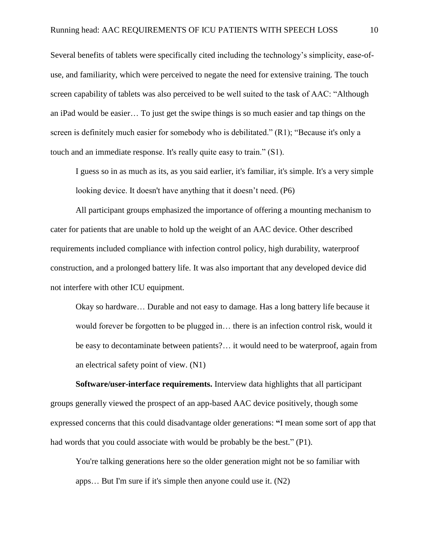Several benefits of tablets were specifically cited including the technology's simplicity, ease-ofuse, and familiarity, which were perceived to negate the need for extensive training. The touch screen capability of tablets was also perceived to be well suited to the task of AAC: "Although an iPad would be easier… To just get the swipe things is so much easier and tap things on the screen is definitely much easier for somebody who is debilitated." (R1); "Because it's only a touch and an immediate response. It's really quite easy to train." (S1).

I guess so in as much as its, as you said earlier, it's familiar, it's simple. It's a very simple looking device. It doesn't have anything that it doesn't need. (P6)

All participant groups emphasized the importance of offering a mounting mechanism to cater for patients that are unable to hold up the weight of an AAC device. Other described requirements included compliance with infection control policy, high durability, waterproof construction, and a prolonged battery life. It was also important that any developed device did not interfere with other ICU equipment.

Okay so hardware… Durable and not easy to damage. Has a long battery life because it would forever be forgotten to be plugged in… there is an infection control risk, would it be easy to decontaminate between patients?… it would need to be waterproof, again from an electrical safety point of view. (N1)

**Software/user-interface requirements.** Interview data highlights that all participant groups generally viewed the prospect of an app-based AAC device positively, though some expressed concerns that this could disadvantage older generations: **"**I mean some sort of app that had words that you could associate with would be probably be the best." (P1).

You're talking generations here so the older generation might not be so familiar with apps… But I'm sure if it's simple then anyone could use it. (N2)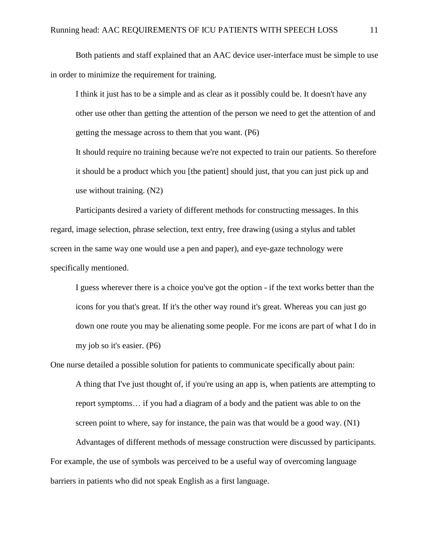Both patients and staff explained that an AAC device user-interface must be simple to use in order to minimize the requirement for training.

I think it just has to be a simple and as clear as it possibly could be. It doesn't have any other use other than getting the attention of the person we need to get the attention of and getting the message across to them that you want. (P6)

It should require no training because we're not expected to train our patients. So therefore it should be a product which you [the patient] should just, that you can just pick up and use without training. (N2)

Participants desired a variety of different methods for constructing messages. In this regard, image selection, phrase selection, text entry, free drawing (using a stylus and tablet screen in the same way one would use a pen and paper), and eye-gaze technology were specifically mentioned.

I guess wherever there is a choice you've got the option - if the text works better than the icons for you that's great. If it's the other way round it's great. Whereas you can just go down one route you may be alienating some people. For me icons are part of what I do in my job so it's easier. (P6)

One nurse detailed a possible solution for patients to communicate specifically about pain:

A thing that I've just thought of, if you're using an app is, when patients are attempting to report symptoms… if you had a diagram of a body and the patient was able to on the screen point to where, say for instance, the pain was that would be a good way. (N1)

Advantages of different methods of message construction were discussed by participants. For example, the use of symbols was perceived to be a useful way of overcoming language barriers in patients who did not speak English as a first language.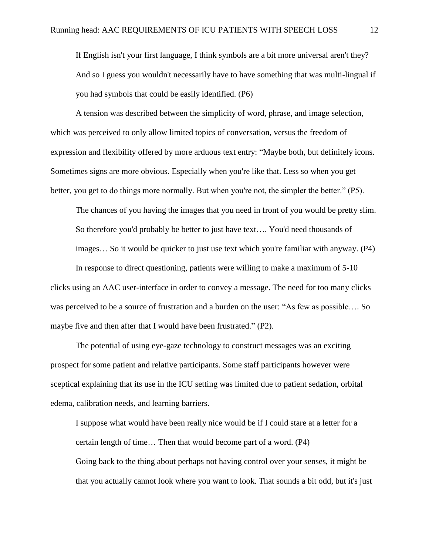If English isn't your first language, I think symbols are a bit more universal aren't they? And so I guess you wouldn't necessarily have to have something that was multi-lingual if you had symbols that could be easily identified. (P6)

A tension was described between the simplicity of word, phrase, and image selection, which was perceived to only allow limited topics of conversation, versus the freedom of expression and flexibility offered by more arduous text entry: "Maybe both, but definitely icons. Sometimes signs are more obvious. Especially when you're like that. Less so when you get better, you get to do things more normally. But when you're not, the simpler the better." (P5).

The chances of you having the images that you need in front of you would be pretty slim. So therefore you'd probably be better to just have text…. You'd need thousands of images… So it would be quicker to just use text which you're familiar with anyway. (P4)

In response to direct questioning, patients were willing to make a maximum of 5-10 clicks using an AAC user-interface in order to convey a message. The need for too many clicks was perceived to be a source of frustration and a burden on the user: "As few as possible…. So maybe five and then after that I would have been frustrated." (P2).

The potential of using eye-gaze technology to construct messages was an exciting prospect for some patient and relative participants. Some staff participants however were sceptical explaining that its use in the ICU setting was limited due to patient sedation, orbital edema, calibration needs, and learning barriers.

I suppose what would have been really nice would be if I could stare at a letter for a certain length of time… Then that would become part of a word. (P4) Going back to the thing about perhaps not having control over your senses, it might be that you actually cannot look where you want to look. That sounds a bit odd, but it's just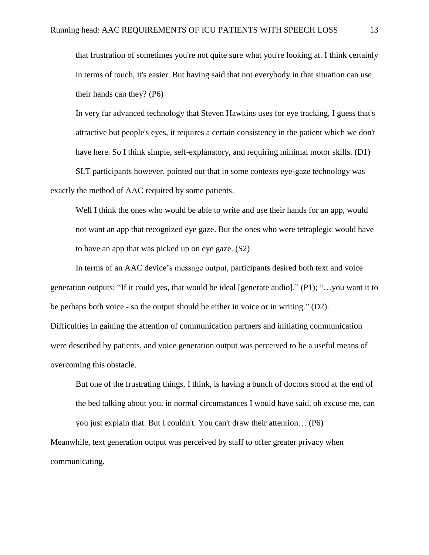that frustration of sometimes you're not quite sure what you're looking at. I think certainly in terms of touch, it's easier. But having said that not everybody in that situation can use their hands can they? (P6)

In very far advanced technology that Steven Hawkins uses for eye tracking, I guess that's attractive but people's eyes, it requires a certain consistency in the patient which we don't have here. So I think simple, self-explanatory, and requiring minimal motor skills. (D1)

SLT participants however, pointed out that in some contexts eye-gaze technology was exactly the method of AAC required by some patients.

Well I think the ones who would be able to write and use their hands for an app, would not want an app that recognized eye gaze. But the ones who were tetraplegic would have to have an app that was picked up on eye gaze. (S2)

In terms of an AAC device's message output, participants desired both text and voice generation outputs: "If it could yes, that would be ideal [generate audio]." (P1); "…you want it to be perhaps both voice - so the output should be either in voice or in writing." (D2). Difficulties in gaining the attention of communication partners and initiating communication were described by patients, and voice generation output was perceived to be a useful means of overcoming this obstacle.

But one of the frustrating things, I think, is having a bunch of doctors stood at the end of the bed talking about you, in normal circumstances I would have said, oh excuse me, can you just explain that. But I couldn't. You can't draw their attention… (P6)

Meanwhile, text generation output was perceived by staff to offer greater privacy when communicating.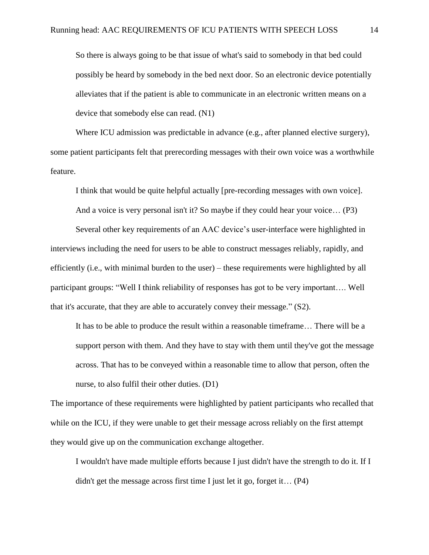So there is always going to be that issue of what's said to somebody in that bed could possibly be heard by somebody in the bed next door. So an electronic device potentially alleviates that if the patient is able to communicate in an electronic written means on a device that somebody else can read. (N1)

Where ICU admission was predictable in advance (e.g., after planned elective surgery), some patient participants felt that prerecording messages with their own voice was a worthwhile feature.

I think that would be quite helpful actually [pre-recording messages with own voice].

And a voice is very personal isn't it? So maybe if they could hear your voice… (P3)

Several other key requirements of an AAC device's user-interface were highlighted in interviews including the need for users to be able to construct messages reliably, rapidly, and efficiently (i.e., with minimal burden to the user) – these requirements were highlighted by all participant groups: "Well I think reliability of responses has got to be very important…. Well that it's accurate, that they are able to accurately convey their message." (S2).

It has to be able to produce the result within a reasonable timeframe… There will be a support person with them. And they have to stay with them until they've got the message across. That has to be conveyed within a reasonable time to allow that person, often the nurse, to also fulfil their other duties. (D1)

The importance of these requirements were highlighted by patient participants who recalled that while on the ICU, if they were unable to get their message across reliably on the first attempt they would give up on the communication exchange altogether.

I wouldn't have made multiple efforts because I just didn't have the strength to do it. If I didn't get the message across first time I just let it go, forget it… (P4)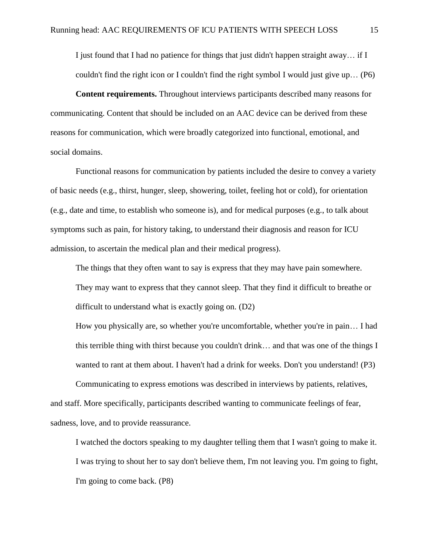I just found that I had no patience for things that just didn't happen straight away… if I couldn't find the right icon or I couldn't find the right symbol I would just give up… (P6)

**Content requirements.** Throughout interviews participants described many reasons for communicating. Content that should be included on an AAC device can be derived from these reasons for communication, which were broadly categorized into functional, emotional, and social domains.

Functional reasons for communication by patients included the desire to convey a variety of basic needs (e.g., thirst, hunger, sleep, showering, toilet, feeling hot or cold), for orientation (e.g., date and time, to establish who someone is), and for medical purposes (e.g., to talk about symptoms such as pain, for history taking, to understand their diagnosis and reason for ICU admission, to ascertain the medical plan and their medical progress).

The things that they often want to say is express that they may have pain somewhere. They may want to express that they cannot sleep. That they find it difficult to breathe or difficult to understand what is exactly going on. (D2)

How you physically are, so whether you're uncomfortable, whether you're in pain… I had this terrible thing with thirst because you couldn't drink… and that was one of the things I wanted to rant at them about. I haven't had a drink for weeks. Don't you understand! (P3)

Communicating to express emotions was described in interviews by patients, relatives, and staff. More specifically, participants described wanting to communicate feelings of fear, sadness, love, and to provide reassurance.

I watched the doctors speaking to my daughter telling them that I wasn't going to make it. I was trying to shout her to say don't believe them, I'm not leaving you. I'm going to fight, I'm going to come back. (P8)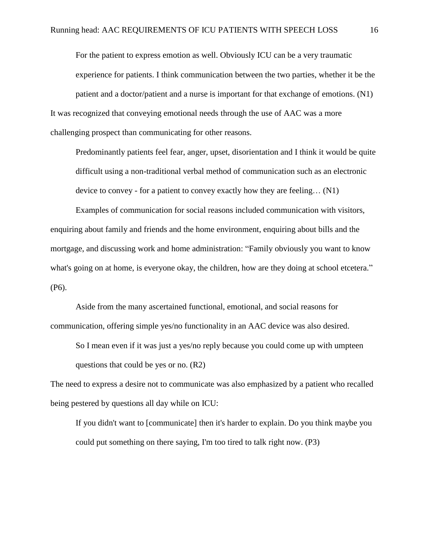For the patient to express emotion as well. Obviously ICU can be a very traumatic experience for patients. I think communication between the two parties, whether it be the patient and a doctor/patient and a nurse is important for that exchange of emotions. (N1) It was recognized that conveying emotional needs through the use of AAC was a more challenging prospect than communicating for other reasons.

Predominantly patients feel fear, anger, upset, disorientation and I think it would be quite difficult using a non-traditional verbal method of communication such as an electronic device to convey - for a patient to convey exactly how they are feeling… (N1)

Examples of communication for social reasons included communication with visitors, enquiring about family and friends and the home environment, enquiring about bills and the mortgage, and discussing work and home administration: "Family obviously you want to know what's going on at home, is everyone okay, the children, how are they doing at school etcetera." (P6).

Aside from the many ascertained functional, emotional, and social reasons for communication, offering simple yes/no functionality in an AAC device was also desired.

So I mean even if it was just a yes/no reply because you could come up with umpteen questions that could be yes or no. (R2)

The need to express a desire not to communicate was also emphasized by a patient who recalled being pestered by questions all day while on ICU:

If you didn't want to [communicate] then it's harder to explain. Do you think maybe you could put something on there saying, I'm too tired to talk right now. (P3)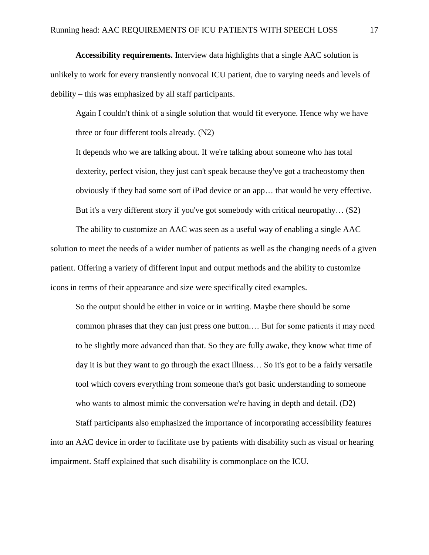**Accessibility requirements.** Interview data highlights that a single AAC solution is unlikely to work for every transiently nonvocal ICU patient, due to varying needs and levels of debility – this was emphasized by all staff participants.

Again I couldn't think of a single solution that would fit everyone. Hence why we have three or four different tools already. (N2)

It depends who we are talking about. If we're talking about someone who has total dexterity, perfect vision, they just can't speak because they've got a tracheostomy then obviously if they had some sort of iPad device or an app… that would be very effective. But it's a very different story if you've got somebody with critical neuropathy… (S2)

The ability to customize an AAC was seen as a useful way of enabling a single AAC solution to meet the needs of a wider number of patients as well as the changing needs of a given patient. Offering a variety of different input and output methods and the ability to customize icons in terms of their appearance and size were specifically cited examples.

So the output should be either in voice or in writing. Maybe there should be some common phrases that they can just press one button.… But for some patients it may need to be slightly more advanced than that. So they are fully awake, they know what time of day it is but they want to go through the exact illness… So it's got to be a fairly versatile tool which covers everything from someone that's got basic understanding to someone who wants to almost mimic the conversation we're having in depth and detail. (D2)

Staff participants also emphasized the importance of incorporating accessibility features into an AAC device in order to facilitate use by patients with disability such as visual or hearing impairment. Staff explained that such disability is commonplace on the ICU.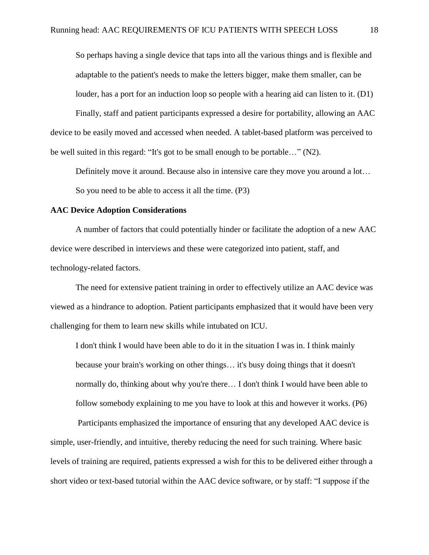So perhaps having a single device that taps into all the various things and is flexible and adaptable to the patient's needs to make the letters bigger, make them smaller, can be louder, has a port for an induction loop so people with a hearing aid can listen to it. (D1) Finally, staff and patient participants expressed a desire for portability, allowing an AAC

device to be easily moved and accessed when needed. A tablet-based platform was perceived to be well suited in this regard: "It's got to be small enough to be portable…" (N2).

Definitely move it around. Because also in intensive care they move you around a lot…

So you need to be able to access it all the time. (P3)

# **AAC Device Adoption Considerations**

A number of factors that could potentially hinder or facilitate the adoption of a new AAC device were described in interviews and these were categorized into patient, staff, and technology-related factors.

The need for extensive patient training in order to effectively utilize an AAC device was viewed as a hindrance to adoption. Patient participants emphasized that it would have been very challenging for them to learn new skills while intubated on ICU.

I don't think I would have been able to do it in the situation I was in. I think mainly because your brain's working on other things… it's busy doing things that it doesn't normally do, thinking about why you're there… I don't think I would have been able to follow somebody explaining to me you have to look at this and however it works. (P6)

 Participants emphasized the importance of ensuring that any developed AAC device is simple, user-friendly, and intuitive, thereby reducing the need for such training. Where basic levels of training are required, patients expressed a wish for this to be delivered either through a short video or text-based tutorial within the AAC device software, or by staff: "I suppose if the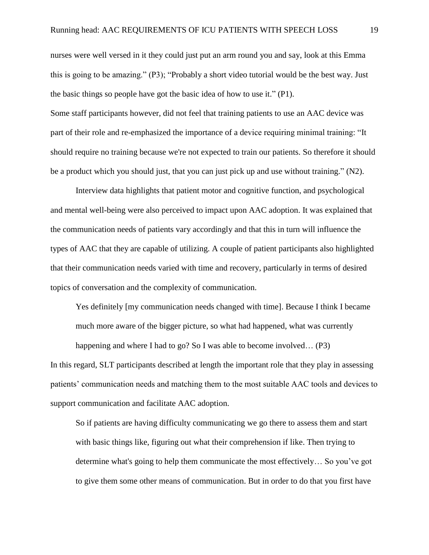nurses were well versed in it they could just put an arm round you and say, look at this Emma this is going to be amazing." (P3); "Probably a short video tutorial would be the best way. Just the basic things so people have got the basic idea of how to use it." (P1).

Some staff participants however, did not feel that training patients to use an AAC device was part of their role and re-emphasized the importance of a device requiring minimal training: "It should require no training because we're not expected to train our patients. So therefore it should be a product which you should just, that you can just pick up and use without training." (N2).

 Interview data highlights that patient motor and cognitive function, and psychological and mental well-being were also perceived to impact upon AAC adoption. It was explained that the communication needs of patients vary accordingly and that this in turn will influence the types of AAC that they are capable of utilizing. A couple of patient participants also highlighted that their communication needs varied with time and recovery, particularly in terms of desired topics of conversation and the complexity of communication.

Yes definitely [my communication needs changed with time]. Because I think I became much more aware of the bigger picture, so what had happened, what was currently

happening and where I had to go? So I was able to become involved... (P3)

In this regard, SLT participants described at length the important role that they play in assessing patients' communication needs and matching them to the most suitable AAC tools and devices to support communication and facilitate AAC adoption.

So if patients are having difficulty communicating we go there to assess them and start with basic things like, figuring out what their comprehension if like. Then trying to determine what's going to help them communicate the most effectively… So you've got to give them some other means of communication. But in order to do that you first have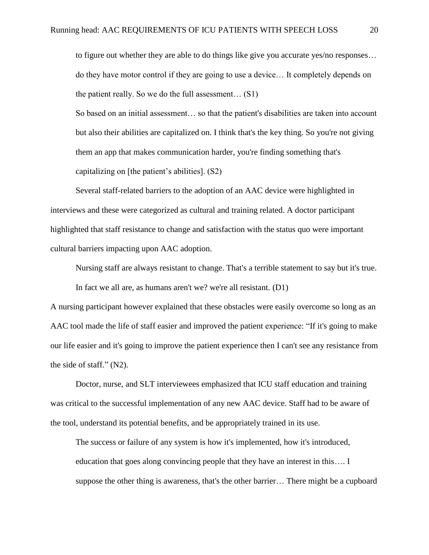to figure out whether they are able to do things like give you accurate yes/no responses… do they have motor control if they are going to use a device… It completely depends on the patient really. So we do the full assessment… (S1)

So based on an initial assessment… so that the patient's disabilities are taken into account but also their abilities are capitalized on. I think that's the key thing. So you're not giving them an app that makes communication harder, you're finding something that's capitalizing on [the patient's abilities]. (S2)

Several staff-related barriers to the adoption of an AAC device were highlighted in interviews and these were categorized as cultural and training related. A doctor participant highlighted that staff resistance to change and satisfaction with the status quo were important cultural barriers impacting upon AAC adoption.

Nursing staff are always resistant to change. That's a terrible statement to say but it's true.

In fact we all are, as humans aren't we? we're all resistant. (D1)

A nursing participant however explained that these obstacles were easily overcome so long as an AAC tool made the life of staff easier and improved the patient experience: "If it's going to make our life easier and it's going to improve the patient experience then I can't see any resistance from the side of staff." (N2).

Doctor, nurse, and SLT interviewees emphasized that ICU staff education and training was critical to the successful implementation of any new AAC device. Staff had to be aware of the tool, understand its potential benefits, and be appropriately trained in its use.

The success or failure of any system is how it's implemented, how it's introduced, education that goes along convincing people that they have an interest in this…. I suppose the other thing is awareness, that's the other barrier… There might be a cupboard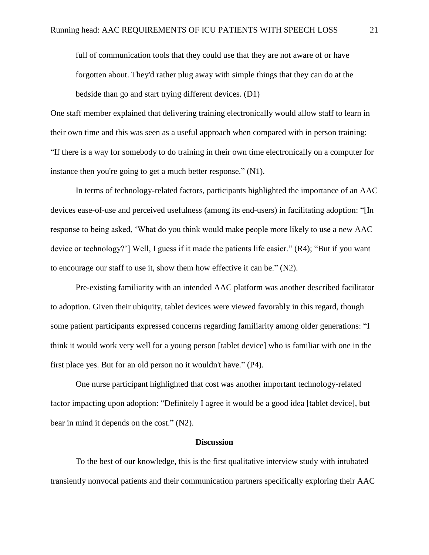full of communication tools that they could use that they are not aware of or have forgotten about. They'd rather plug away with simple things that they can do at the bedside than go and start trying different devices. (D1)

One staff member explained that delivering training electronically would allow staff to learn in their own time and this was seen as a useful approach when compared with in person training: "If there is a way for somebody to do training in their own time electronically on a computer for instance then you're going to get a much better response." (N1).

In terms of technology-related factors, participants highlighted the importance of an AAC devices ease-of-use and perceived usefulness (among its end-users) in facilitating adoption: "[In response to being asked, 'What do you think would make people more likely to use a new AAC device or technology?'] Well, I guess if it made the patients life easier." (R4); "But if you want to encourage our staff to use it, show them how effective it can be." (N2).

Pre-existing familiarity with an intended AAC platform was another described facilitator to adoption. Given their ubiquity, tablet devices were viewed favorably in this regard, though some patient participants expressed concerns regarding familiarity among older generations: "I think it would work very well for a young person [tablet device] who is familiar with one in the first place yes. But for an old person no it wouldn't have." (P4).

One nurse participant highlighted that cost was another important technology-related factor impacting upon adoption: "Definitely I agree it would be a good idea [tablet device], but bear in mind it depends on the cost." (N2).

### **Discussion**

To the best of our knowledge, this is the first qualitative interview study with intubated transiently nonvocal patients and their communication partners specifically exploring their AAC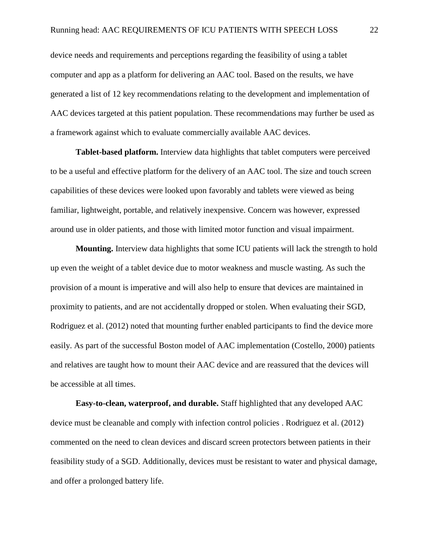device needs and requirements and perceptions regarding the feasibility of using a tablet computer and app as a platform for delivering an AAC tool. Based on the results, we have generated a list of 12 key recommendations relating to the development and implementation of AAC devices targeted at this patient population. These recommendations may further be used as a framework against which to evaluate commercially available AAC devices.

**Tablet-based platform.** Interview data highlights that tablet computers were perceived to be a useful and effective platform for the delivery of an AAC tool. The size and touch screen capabilities of these devices were looked upon favorably and tablets were viewed as being familiar, lightweight, portable, and relatively inexpensive. Concern was however, expressed around use in older patients, and those with limited motor function and visual impairment.

**Mounting.** Interview data highlights that some ICU patients will lack the strength to hold up even the weight of a tablet device due to motor weakness and muscle wasting. As such the provision of a mount is imperative and will also help to ensure that devices are maintained in proximity to patients, and are not accidentally dropped or stolen. When evaluating their SGD, Rodriguez et al. (2012) noted that mounting further enabled participants to find the device more easily. As part of the successful Boston model of AAC implementation (Costello, 2000) patients and relatives are taught how to mount their AAC device and are reassured that the devices will be accessible at all times.

**Easy-to-clean, waterproof, and durable.** Staff highlighted that any developed AAC device must be cleanable and comply with infection control policies . Rodriguez et al. (2012) commented on the need to clean devices and discard screen protectors between patients in their feasibility study of a SGD. Additionally, devices must be resistant to water and physical damage, and offer a prolonged battery life.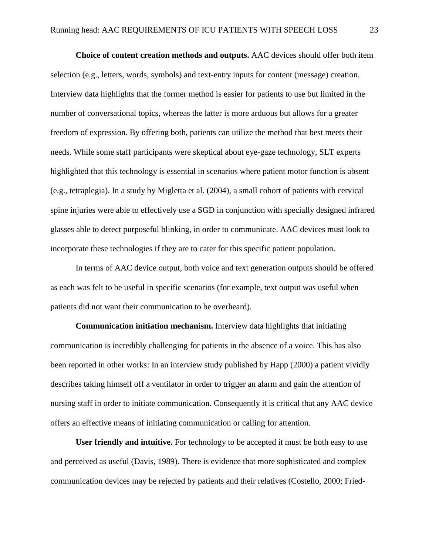**Choice of content creation methods and outputs.** AAC devices should offer both item selection (e.g., letters, words, symbols) and text-entry inputs for content (message) creation. Interview data highlights that the former method is easier for patients to use but limited in the number of conversational topics, whereas the latter is more arduous but allows for a greater freedom of expression. By offering both, patients can utilize the method that best meets their needs. While some staff participants were skeptical about eye-gaze technology, SLT experts highlighted that this technology is essential in scenarios where patient motor function is absent (e.g., tetraplegia). In a study by Migletta et al. (2004), a small cohort of patients with cervical spine injuries were able to effectively use a SGD in conjunction with specially designed infrared glasses able to detect purposeful blinking, in order to communicate. AAC devices must look to incorporate these technologies if they are to cater for this specific patient population.

In terms of AAC device output, both voice and text generation outputs should be offered as each was felt to be useful in specific scenarios (for example, text output was useful when patients did not want their communication to be overheard).

**Communication initiation mechanism.** Interview data highlights that initiating communication is incredibly challenging for patients in the absence of a voice. This has also been reported in other works: In an interview study published by Happ (2000) a patient vividly describes taking himself off a ventilator in order to trigger an alarm and gain the attention of nursing staff in order to initiate communication. Consequently it is critical that any AAC device offers an effective means of initiating communication or calling for attention.

**User friendly and intuitive.** For technology to be accepted it must be both easy to use and perceived as useful (Davis, 1989). There is evidence that more sophisticated and complex communication devices may be rejected by patients and their relatives (Costello, 2000; Fried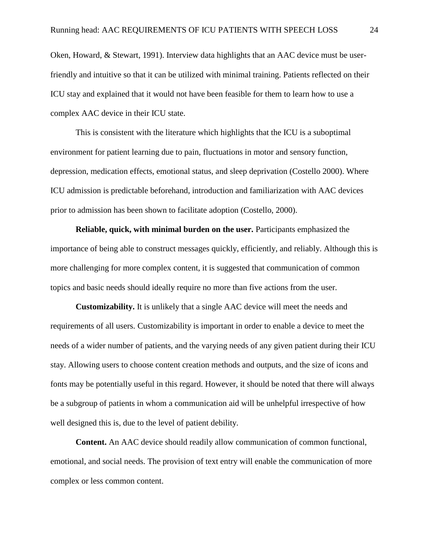Oken, Howard, & Stewart, 1991). Interview data highlights that an AAC device must be userfriendly and intuitive so that it can be utilized with minimal training. Patients reflected on their ICU stay and explained that it would not have been feasible for them to learn how to use a complex AAC device in their ICU state.

This is consistent with the literature which highlights that the ICU is a suboptimal environment for patient learning due to pain, fluctuations in motor and sensory function, depression, medication effects, emotional status, and sleep deprivation (Costello 2000). Where ICU admission is predictable beforehand, introduction and familiarization with AAC devices prior to admission has been shown to facilitate adoption (Costello, 2000).

**Reliable, quick, with minimal burden on the user.** Participants emphasized the importance of being able to construct messages quickly, efficiently, and reliably. Although this is more challenging for more complex content, it is suggested that communication of common topics and basic needs should ideally require no more than five actions from the user.

**Customizability.** It is unlikely that a single AAC device will meet the needs and requirements of all users. Customizability is important in order to enable a device to meet the needs of a wider number of patients, and the varying needs of any given patient during their ICU stay. Allowing users to choose content creation methods and outputs, and the size of icons and fonts may be potentially useful in this regard. However, it should be noted that there will always be a subgroup of patients in whom a communication aid will be unhelpful irrespective of how well designed this is, due to the level of patient debility.

**Content.** An AAC device should readily allow communication of common functional, emotional, and social needs. The provision of text entry will enable the communication of more complex or less common content.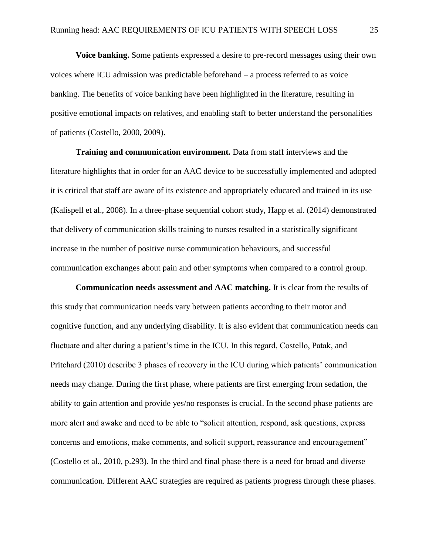**Voice banking.** Some patients expressed a desire to pre-record messages using their own voices where ICU admission was predictable beforehand – a process referred to as voice banking. The benefits of voice banking have been highlighted in the literature, resulting in positive emotional impacts on relatives, and enabling staff to better understand the personalities of patients (Costello, 2000, 2009).

**Training and communication environment.** Data from staff interviews and the literature highlights that in order for an AAC device to be successfully implemented and adopted it is critical that staff are aware of its existence and appropriately educated and trained in its use (Kalispell et al., 2008). In a three-phase sequential cohort study, Happ et al. (2014) demonstrated that delivery of communication skills training to nurses resulted in a statistically significant increase in the number of positive nurse communication behaviours, and successful communication exchanges about pain and other symptoms when compared to a control group.

**Communication needs assessment and AAC matching.** It is clear from the results of this study that communication needs vary between patients according to their motor and cognitive function, and any underlying disability. It is also evident that communication needs can fluctuate and alter during a patient's time in the ICU. In this regard, Costello, Patak, and Pritchard (2010) describe 3 phases of recovery in the ICU during which patients' communication needs may change. During the first phase, where patients are first emerging from sedation, the ability to gain attention and provide yes/no responses is crucial. In the second phase patients are more alert and awake and need to be able to "solicit attention, respond, ask questions, express concerns and emotions, make comments, and solicit support, reassurance and encouragement" (Costello et al., 2010, p.293). In the third and final phase there is a need for broad and diverse communication. Different AAC strategies are required as patients progress through these phases.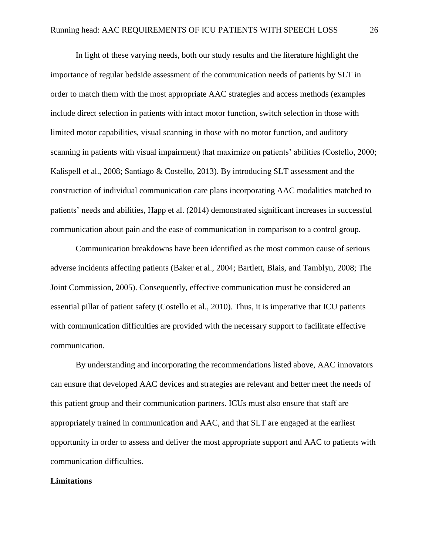In light of these varying needs, both our study results and the literature highlight the importance of regular bedside assessment of the communication needs of patients by SLT in order to match them with the most appropriate AAC strategies and access methods (examples include direct selection in patients with intact motor function, switch selection in those with limited motor capabilities, visual scanning in those with no motor function, and auditory scanning in patients with visual impairment) that maximize on patients' abilities (Costello, 2000; Kalispell et al., 2008; Santiago & Costello, 2013). By introducing SLT assessment and the construction of individual communication care plans incorporating AAC modalities matched to patients' needs and abilities, Happ et al. (2014) demonstrated significant increases in successful communication about pain and the ease of communication in comparison to a control group.

Communication breakdowns have been identified as the most common cause of serious adverse incidents affecting patients (Baker et al., 2004; Bartlett, Blais, and Tamblyn, 2008; The Joint Commission, 2005). Consequently, effective communication must be considered an essential pillar of patient safety (Costello et al., 2010). Thus, it is imperative that ICU patients with communication difficulties are provided with the necessary support to facilitate effective communication.

By understanding and incorporating the recommendations listed above, AAC innovators can ensure that developed AAC devices and strategies are relevant and better meet the needs of this patient group and their communication partners. ICUs must also ensure that staff are appropriately trained in communication and AAC, and that SLT are engaged at the earliest opportunity in order to assess and deliver the most appropriate support and AAC to patients with communication difficulties.

#### **Limitations**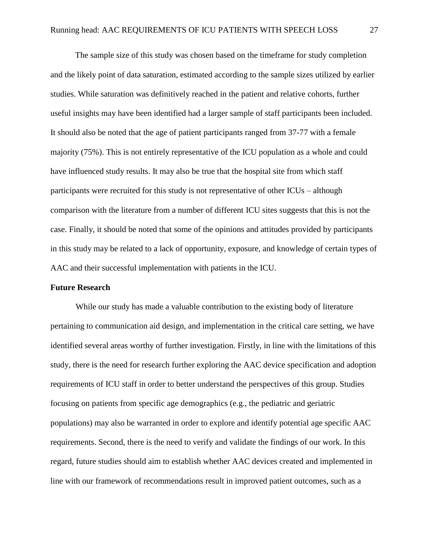The sample size of this study was chosen based on the timeframe for study completion and the likely point of data saturation, estimated according to the sample sizes utilized by earlier studies. While saturation was definitively reached in the patient and relative cohorts, further useful insights may have been identified had a larger sample of staff participants been included. It should also be noted that the age of patient participants ranged from 37-77 with a female majority (75%). This is not entirely representative of the ICU population as a whole and could have influenced study results. It may also be true that the hospital site from which staff participants were recruited for this study is not representative of other ICUs – although comparison with the literature from a number of different ICU sites suggests that this is not the case. Finally, it should be noted that some of the opinions and attitudes provided by participants in this study may be related to a lack of opportunity, exposure, and knowledge of certain types of AAC and their successful implementation with patients in the ICU.

#### **Future Research**

 While our study has made a valuable contribution to the existing body of literature pertaining to communication aid design, and implementation in the critical care setting, we have identified several areas worthy of further investigation. Firstly, in line with the limitations of this study, there is the need for research further exploring the AAC device specification and adoption requirements of ICU staff in order to better understand the perspectives of this group. Studies focusing on patients from specific age demographics (e.g., the pediatric and geriatric populations) may also be warranted in order to explore and identify potential age specific AAC requirements. Second, there is the need to verify and validate the findings of our work. In this regard, future studies should aim to establish whether AAC devices created and implemented in line with our framework of recommendations result in improved patient outcomes, such as a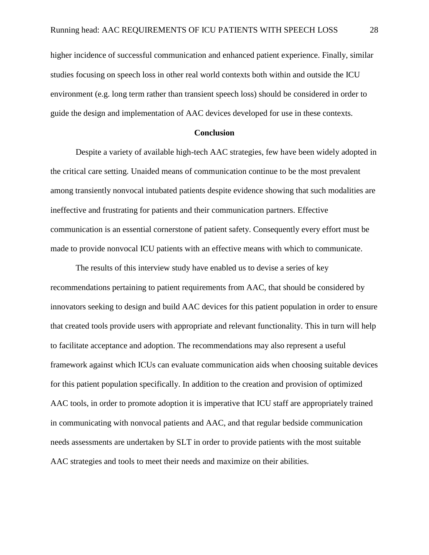higher incidence of successful communication and enhanced patient experience. Finally, similar studies focusing on speech loss in other real world contexts both within and outside the ICU environment (e.g. long term rather than transient speech loss) should be considered in order to guide the design and implementation of AAC devices developed for use in these contexts.

### **Conclusion**

Despite a variety of available high-tech AAC strategies, few have been widely adopted in the critical care setting. Unaided means of communication continue to be the most prevalent among transiently nonvocal intubated patients despite evidence showing that such modalities are ineffective and frustrating for patients and their communication partners. Effective communication is an essential cornerstone of patient safety. Consequently every effort must be made to provide nonvocal ICU patients with an effective means with which to communicate.

The results of this interview study have enabled us to devise a series of key recommendations pertaining to patient requirements from AAC, that should be considered by innovators seeking to design and build AAC devices for this patient population in order to ensure that created tools provide users with appropriate and relevant functionality. This in turn will help to facilitate acceptance and adoption. The recommendations may also represent a useful framework against which ICUs can evaluate communication aids when choosing suitable devices for this patient population specifically. In addition to the creation and provision of optimized AAC tools, in order to promote adoption it is imperative that ICU staff are appropriately trained in communicating with nonvocal patients and AAC, and that regular bedside communication needs assessments are undertaken by SLT in order to provide patients with the most suitable AAC strategies and tools to meet their needs and maximize on their abilities.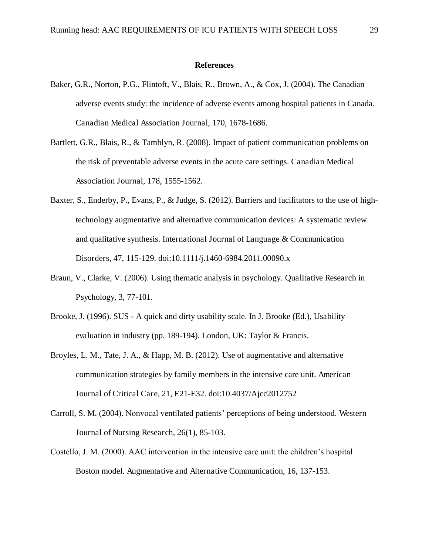#### **References**

- Baker, G.R., Norton, P.G., Flintoft, V., Blais, R., Brown, A., & Cox, J. (2004). The Canadian adverse events study: the incidence of adverse events among hospital patients in Canada. Canadian Medical Association Journal, 170, 1678-1686.
- Bartlett, G.R., Blais, R., & Tamblyn, R. (2008). Impact of patient communication problems on the risk of preventable adverse events in the acute care settings. Canadian Medical Association Journal, 178, 1555-1562.
- Baxter, S., Enderby, P., Evans, P., & Judge, S. (2012). Barriers and facilitators to the use of hightechnology augmentative and alternative communication devices: A systematic review and qualitative synthesis. International Journal of Language & Communication Disorders, 47, 115-129. doi:10.1111/j.1460-6984.2011.00090.x
- Braun, V., Clarke, V. (2006). Using thematic analysis in psychology. Qualitative Research in Psychology, 3, 77-101.
- Brooke, J. (1996). SUS A quick and dirty usability scale. In J. Brooke (Ed.), Usability evaluation in industry (pp. 189-194). London, UK: Taylor & Francis.
- Broyles, L. M., Tate, J. A., & Happ, M. B. (2012). Use of augmentative and alternative communication strategies by family members in the intensive care unit. American Journal of Critical Care, 21, E21-E32. doi:10.4037/Ajcc2012752
- Carroll, S. M. (2004). Nonvocal ventilated patients' perceptions of being understood. Western Journal of Nursing Research, 26(1), 85-103.
- Costello, J. M. (2000). AAC intervention in the intensive care unit: the children's hospital Boston model. Augmentative and Alternative Communication, 16, 137-153.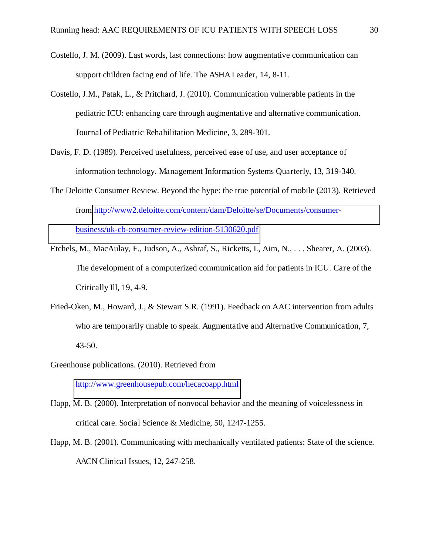- Costello, J. M. (2009). Last words, last connections: how augmentative communication can support children facing end of life. The ASHA Leader, 14, 8-11.
- Costello, J.M., Patak, L., & Pritchard, J. (2010). Communication vulnerable patients in the pediatric ICU: enhancing care through augmentative and alternative communication. Journal of Pediatric Rehabilitation Medicine, 3, 289-301.
- Davis, F. D. (1989). Perceived usefulness, perceived ease of use, and user acceptance of information technology. Management Information Systems Quarterly, 13, 319-340.
- The Deloitte Consumer Review. Beyond the hype: the true potential of mobile (2013). Retrieved from [http://www2.deloitte.com/content/dam/Deloitte/se/Documents/consumer](http://www2.deloitte.com/content/dam/Deloitte/se/Documents/consumer-business/uk-cb-consumer-review-edition-5130620.pdf)[business/uk-cb-consumer-review-edition-5130620.pdf](http://www2.deloitte.com/content/dam/Deloitte/se/Documents/consumer-business/uk-cb-consumer-review-edition-5130620.pdf)
- Etchels, M., MacAulay, F., Judson, A., Ashraf, S., Ricketts, I., Aim, N., . . . Shearer, A. (2003). The development of a computerized communication aid for patients in ICU. Care of the Critically Ill, 19, 4-9.
- Fried-Oken, M., Howard, J., & Stewart S.R. (1991). Feedback on AAC intervention from adults who are temporarily unable to speak. Augmentative and Alternative Communication, 7, 43-50.
- Greenhouse publications. (2010). Retrieved from

<http://www.greenhousepub.com/hecacoapp.html>

- Happ, M. B. (2000). Interpretation of nonvocal behavior and the meaning of voicelessness in critical care. Social Science & Medicine, 50, 1247-1255.
- Happ, M. B. (2001). Communicating with mechanically ventilated patients: State of the science. AACN Clinical Issues, 12, 247-258.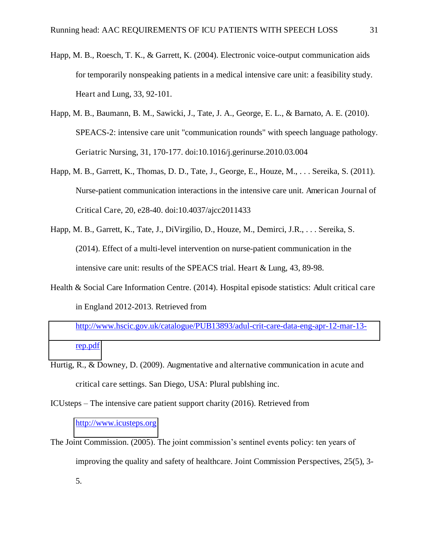- Happ, M. B., Roesch, T. K., & Garrett, K. (2004). Electronic voice-output communication aids for temporarily nonspeaking patients in a medical intensive care unit: a feasibility study. Heart and Lung, 33, 92-101.
- Happ, M. B., Baumann, B. M., Sawicki, J., Tate, J. A., George, E. L., & Barnato, A. E. (2010). SPEACS-2: intensive care unit "communication rounds" with speech language pathology. Geriatric Nursing, 31, 170-177. doi:10.1016/j.gerinurse.2010.03.004
- Happ, M. B., Garrett, K., Thomas, D. D., Tate, J., George, E., Houze, M., . . . Sereika, S. (2011). Nurse-patient communication interactions in the intensive care unit. American Journal of Critical Care, 20, e28-40. doi:10.4037/ajcc2011433
- Happ, M. B., Garrett, K., Tate, J., DiVirgilio, D., Houze, M., Demirci, J.R., . . . Sereika, S. (2014). Effect of a multi-level intervention on nurse-patient communication in the intensive care unit: results of the SPEACS trial. Heart & Lung, 43, 89-98.
- Health & Social Care Information Centre. (2014). Hospital episode statistics: Adult critical care in England 2012-2013. Retrieved from

[http://www.hscic.gov.uk/catalogue/PUB13893/adul-crit-care-data-eng-apr-12-mar-13](http://www.hscic.gov.uk/catalogue/PUB13893/adul-crit-care-data-eng-apr-12-mar-13-rep.pdf) [rep.pdf](http://www.hscic.gov.uk/catalogue/PUB13893/adul-crit-care-data-eng-apr-12-mar-13-rep.pdf)

- Hurtig, R., & Downey, D. (2009). Augmentative and alternative communication in acute and critical care settings. San Diego, USA: Plural publshing inc.
- ICUsteps The intensive care patient support charity (2016). Retrieved from [http://www.icusteps.org](http://www.icusteps.org/)
- The Joint Commission. (2005). The joint commission's sentinel events policy: ten years of improving the quality and safety of healthcare. Joint Commission Perspectives, 25(5), 3- 5.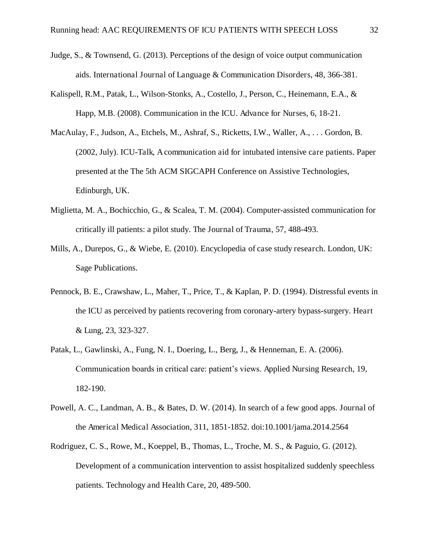- Judge, S., & Townsend, G. (2013). Perceptions of the design of voice output communication aids. International Journal of Language & Communication Disorders, 48, 366-381.
- Kalispell, R.M., Patak, L., Wilson-Stonks, A., Costello, J., Person, C., Heinemann, E.A., & Happ, M.B. (2008). Communication in the ICU. Advance for Nurses, 6, 18-21.
- MacAulay, F., Judson, A., Etchels, M., Ashraf, S., Ricketts, I.W., Waller, A., . . . Gordon, B. (2002, July). ICU-Talk, A communication aid for intubated intensive care patients. Paper presented at the The 5th ACM SIGCAPH Conference on Assistive Technologies, Edinburgh, UK.
- Miglietta, M. A., Bochicchio, G., & Scalea, T. M. (2004). Computer-assisted communication for critically ill patients: a pilot study. The Journal of Trauma, 57, 488-493.
- Mills, A., Durepos, G., & Wiebe, E. (2010). Encyclopedia of case study research. London, UK: Sage Publications.
- Pennock, B. E., Crawshaw, L., Maher, T., Price, T., & Kaplan, P. D. (1994). Distressful events in the ICU as perceived by patients recovering from coronary-artery bypass-surgery. Heart & Lung, 23, 323-327.
- Patak, L., Gawlinski, A., Fung, N. I., Doering, L., Berg, J., & Henneman, E. A. (2006). Communication boards in critical care: patient's views. Applied Nursing Research, 19, 182-190.
- Powell, A. C., Landman, A. B., & Bates, D. W. (2014). In search of a few good apps. Journal of the Americal Medical Association, 311, 1851-1852. doi:10.1001/jama.2014.2564
- Rodriguez, C. S., Rowe, M., Koeppel, B., Thomas, L., Troche, M. S., & Paguio, G. (2012). Development of a communication intervention to assist hospitalized suddenly speechless patients. Technology and Health Care, 20, 489-500.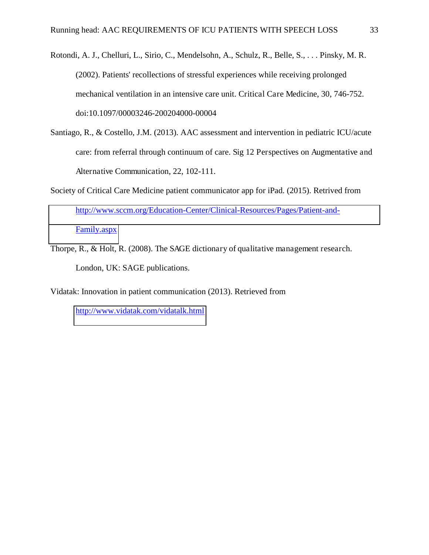Rotondi, A. J., Chelluri, L., Sirio, C., Mendelsohn, A., Schulz, R., Belle, S., . . . Pinsky, M. R. (2002). Patients' recollections of stressful experiences while receiving prolonged mechanical ventilation in an intensive care unit. Critical Care Medicine, 30, 746-752. doi:10.1097/00003246-200204000-00004

- Santiago, R., & Costello, J.M. (2013). AAC assessment and intervention in pediatric ICU/acute care: from referral through continuum of care. Sig 12 Perspectives on Augmentative and Alternative Communication, 22, 102-111.
- Society of Critical Care Medicine patient communicator app for iPad. (2015). Retrived from [http://www.sccm.org/Education-Center/Clinical-Resources/Pages/Patient-and-](http://www.sccm.org/Education-Center/Clinical-Resources/Pages/Patient-and-Family.aspx)[Family.aspx](http://www.sccm.org/Education-Center/Clinical-Resources/Pages/Patient-and-Family.aspx)
- Thorpe, R., & Holt, R. (2008). The SAGE dictionary of qualitative management research. London, UK: SAGE publications.

Vidatak: Innovation in patient communication (2013). Retrieved from

<http://www.vidatak.com/vidatalk.html>